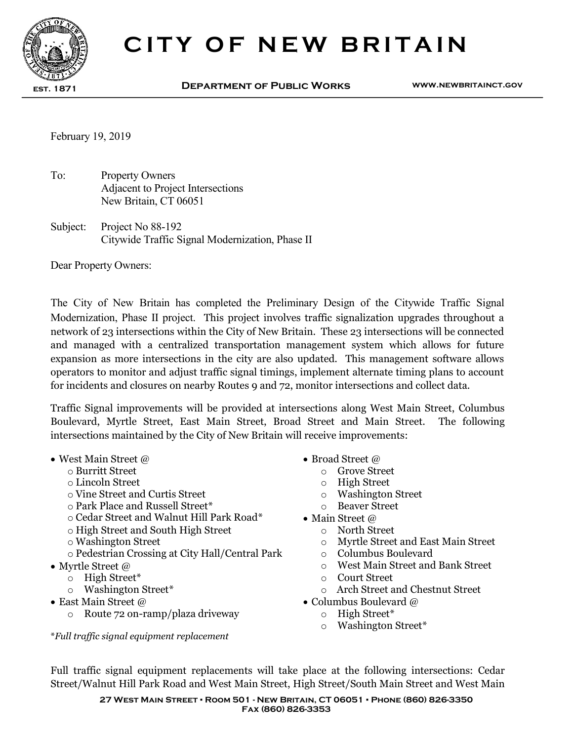

## CITY OF NEW BRITAIN

est. 1871 Department of Public Works www.newbritainct.gov

February 19, 2019

To: Property Owners Adjacent to Project Intersections New Britain, CT 06051

Subject: Project No 88-192 Citywide Traffic Signal Modernization, Phase II

Dear Property Owners:

The City of New Britain has completed the Preliminary Design of the Citywide Traffic Signal Modernization, Phase II project. This project involves traffic signalization upgrades throughout a network of 23 intersections within the City of New Britain. These 23 intersections will be connected and managed with a centralized transportation management system which allows for future expansion as more intersections in the city are also updated. This management software allows operators to monitor and adjust traffic signal timings, implement alternate timing plans to account for incidents and closures on nearby Routes 9 and 72, monitor intersections and collect data.

Traffic Signal improvements will be provided at intersections along West Main Street, Columbus Boulevard, Myrtle Street, East Main Street, Broad Street and Main Street. The following intersections maintained by the City of New Britain will receive improvements:

- West Main Street @  $\bullet$  Broad Street @
	-
	-
	- o Lincoln Street<br>
	o Vine Street and Curtis Street<br>
	o Washington Street o Vine Street and Curtis Street **the Curtis Street** o Washington S<br>
	o Park Place and Russell Street\* **o** Beaver Street
	- $\circ$  Park Place and Russell Street\*
	- $\circ$  Cedar Street and Walnut Hill Park Road\* Main Street  $\varpi$
	- o High Street and South High Street o North Street
	-
	- o Pedestrian Crossing at City Hall/Central Park
- - o High Street\* o Court Street
	-
- - o Route 72 on-ramp/plaza driveway o High Street\*

\*Full traffic signal equipment replacement

- 
- o Burritt Street o Grove Street
	-
	-
	-
	- -
		- $\circ$  Myrtle Street and East Main Street  $\circ$  Columbus Boulevard
		-
- Myrtle Street @  $\bullet$  Myrtle Street and Bank Street and Bank Street and Bank Street and Bank Street and Bank Street and Bank Street and Bank Street and Bank Street and Bank Street and Bank Street and Bank Street and Bank
	-
	- $\circ$  Arch Street and Chestnut Street
- East Main Street @ Columbus Boulevard @
	-
	- o Washington Street\*

Full traffic signal equipment replacements will take place at the following intersections: Cedar Street/Walnut Hill Park Road and West Main Street, High Street/South Main Street and West Main